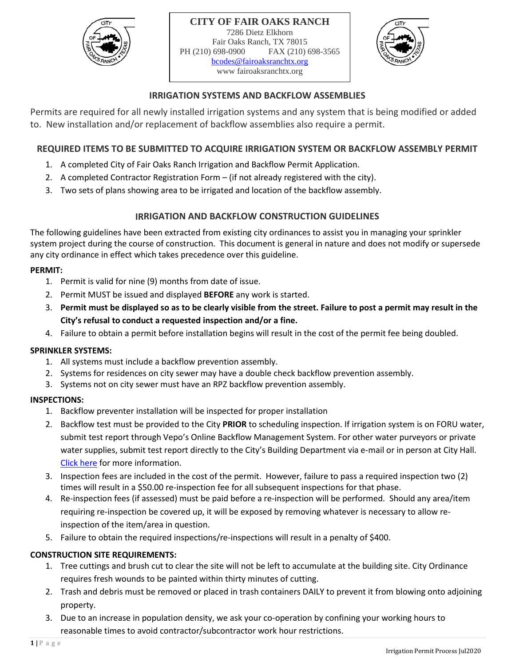



## **IRRIGATION SYSTEMS AND BACKFLOW ASSEMBLIES**

Permits are required for all newly installed irrigation systems and any system that is being modified or added to. New installation and/or replacement of backflow assemblies also require a permit.

### **REQUIRED ITEMS TO BE SUBMITTED TO ACQUIRE IRRIGATION SYSTEM OR BACKFLOW ASSEMBLY PERMIT**

- 1. A completed City of Fair Oaks Ranch Irrigation and Backflow Permit Application.
- 2. A completed Contractor Registration Form (if not already registered with the city).
- 3. Two sets of plans showing area to be irrigated and location of the backflow assembly.

## **IRRIGATION AND BACKFLOW CONSTRUCTION GUIDELINES**

The following guidelines have been extracted from existing city ordinances to assist you in managing your sprinkler system project during the course of construction. This document is general in nature and does not modify or supersede any city ordinance in effect which takes precedence over this guideline.

#### **PERMIT:**

- 1. Permit is valid for nine (9) months from date of issue.
- 2. Permit MUST be issued and displayed **BEFORE** any work is started.
- 3. **Permit must be displayed so as to be clearly visible from the street. Failure to post a permit may result in the City's refusal to conduct a requested inspection and/or a fine.**
- 4. Failure to obtain a permit before installation begins will result in the cost of the permit fee being doubled.

#### **SPRINKLER SYSTEMS:**

- 1. All systems must include a backflow prevention assembly.
- 2. Systems for residences on city sewer may have a double check backflow prevention assembly.
- 3. Systems not on city sewer must have an RPZ backflow prevention assembly.

#### **INSPECTIONS:**

- 1. Backflow preventer installation will be inspected for proper installation
- 2. Backflow test must be provided to the City **PRIOR** to scheduling inspection. If irrigation system is on FORU water, submit test report through Vepo's Online Backflow Management System. For other water purveyors or private water supplies, submit test report directly to the City's Building Department via e-mail or in person at City Hall. [Click here](http://www.fairoaksranchtx.org/451/Cross-Connection-Control-and-Backflow-Pr) for more information.
- 3. Inspection fees are included in the cost of the permit. However, failure to pass a required inspection two (2) times will result in a \$50.00 re-inspection fee for all subsequent inspections for that phase.
- 4. Re-inspection fees (if assessed) must be paid before a re-inspection will be performed. Should any area/item requiring re-inspection be covered up, it will be exposed by removing whatever is necessary to allow reinspection of the item/area in question.
- 5. Failure to obtain the required inspections/re-inspections will result in a penalty of \$400.

# **CONSTRUCTION SITE REQUIREMENTS:**

- 1. Tree cuttings and brush cut to clear the site will not be left to accumulate at the building site. City Ordinance requires fresh wounds to be painted within thirty minutes of cutting.
- 2. Trash and debris must be removed or placed in trash containers DAILY to prevent it from blowing onto adjoining property.
- 3. Due to an increase in population density, we ask your co-operation by confining your working hours to reasonable times to avoid contractor/subcontractor work hour restrictions.